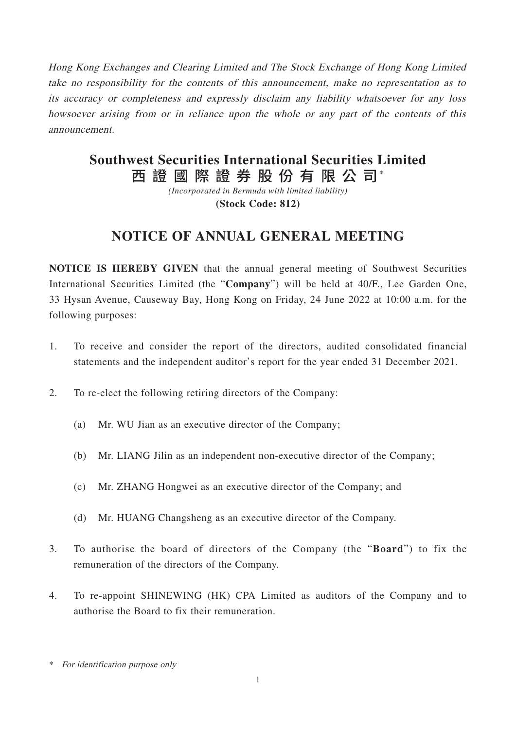Hong Kong Exchanges and Clearing Limited and The Stock Exchange of Hong Kong Limited take no responsibility for the contents of this announcement, make no representation as to its accuracy or completeness and expressly disclaim any liability whatsoever for any loss howsoever arising from or in reliance upon the whole or any part of the contents of this announcement.

# 西 證 國 際 證 券 股 份 有 限 公 司\* **Southwest Securities International Securities Limited**

*(Incorporated in Bermuda with limited liability)* **(Stock Code: 812)**

## **NOTICE OF ANNUAL GENERAL MEETING**

**NOTICE IS HEREBY GIVEN** that the annual general meeting of Southwest Securities International Securities Limited (the "**Company**") will be held at 40/F., Lee Garden One, 33 Hysan Avenue, Causeway Bay, Hong Kong on Friday, 24 June 2022 at 10:00 a.m. for the following purposes:

- 1. To receive and consider the report of the directors, audited consolidated financial statements and the independent auditor's report for the year ended 31 December 2021.
- 2. To re-elect the following retiring directors of the Company:
	- (a) Mr. WU Jian as an executive director of the Company;
	- (b) Mr. LIANG Jilin as an independent non-executive director of the Company;
	- (c) Mr. ZHANG Hongwei as an executive director of the Company; and
	- (d) Mr. HUANG Changsheng as an executive director of the Company.
- 3. To authorise the board of directors of the Company (the "**Board**") to fix the remuneration of the directors of the Company.
- 4. To re-appoint SHINEWING (HK) CPA Limited as auditors of the Company and to authorise the Board to fix their remuneration.

<sup>\*</sup> For identification purpose only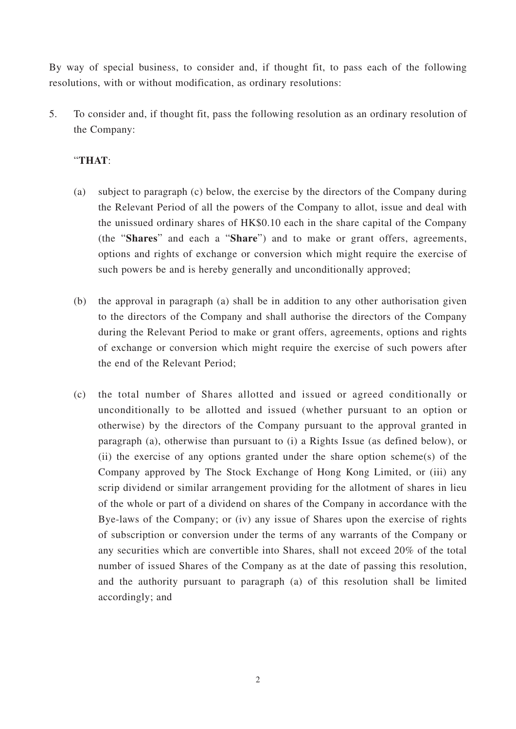By way of special business, to consider and, if thought fit, to pass each of the following resolutions, with or without modification, as ordinary resolutions:

5. To consider and, if thought fit, pass the following resolution as an ordinary resolution of the Company:

### "**THAT**:

- (a) subject to paragraph (c) below, the exercise by the directors of the Company during the Relevant Period of all the powers of the Company to allot, issue and deal with the unissued ordinary shares of HK\$0.10 each in the share capital of the Company (the "**Shares**" and each a "**Share**") and to make or grant offers, agreements, options and rights of exchange or conversion which might require the exercise of such powers be and is hereby generally and unconditionally approved;
- (b) the approval in paragraph (a) shall be in addition to any other authorisation given to the directors of the Company and shall authorise the directors of the Company during the Relevant Period to make or grant offers, agreements, options and rights of exchange or conversion which might require the exercise of such powers after the end of the Relevant Period;
- (c) the total number of Shares allotted and issued or agreed conditionally or unconditionally to be allotted and issued (whether pursuant to an option or otherwise) by the directors of the Company pursuant to the approval granted in paragraph (a), otherwise than pursuant to (i) a Rights Issue (as defined below), or (ii) the exercise of any options granted under the share option scheme(s) of the Company approved by The Stock Exchange of Hong Kong Limited, or (iii) any scrip dividend or similar arrangement providing for the allotment of shares in lieu of the whole or part of a dividend on shares of the Company in accordance with the Bye-laws of the Company; or (iv) any issue of Shares upon the exercise of rights of subscription or conversion under the terms of any warrants of the Company or any securities which are convertible into Shares, shall not exceed 20% of the total number of issued Shares of the Company as at the date of passing this resolution, and the authority pursuant to paragraph (a) of this resolution shall be limited accordingly; and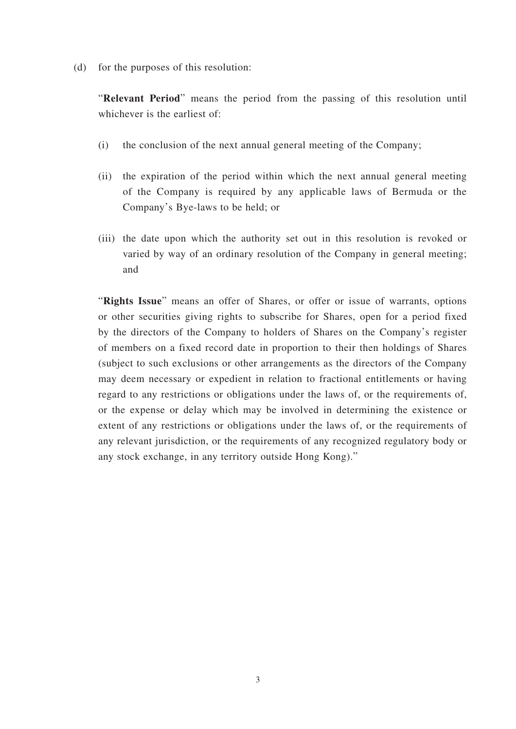(d) for the purposes of this resolution:

"**Relevant Period**" means the period from the passing of this resolution until whichever is the earliest of:

- (i) the conclusion of the next annual general meeting of the Company;
- (ii) the expiration of the period within which the next annual general meeting of the Company is required by any applicable laws of Bermuda or the Company's Bye-laws to be held; or
- (iii) the date upon which the authority set out in this resolution is revoked or varied by way of an ordinary resolution of the Company in general meeting; and

"**Rights Issue**" means an offer of Shares, or offer or issue of warrants, options or other securities giving rights to subscribe for Shares, open for a period fixed by the directors of the Company to holders of Shares on the Company's register of members on a fixed record date in proportion to their then holdings of Shares (subject to such exclusions or other arrangements as the directors of the Company may deem necessary or expedient in relation to fractional entitlements or having regard to any restrictions or obligations under the laws of, or the requirements of, or the expense or delay which may be involved in determining the existence or extent of any restrictions or obligations under the laws of, or the requirements of any relevant jurisdiction, or the requirements of any recognized regulatory body or any stock exchange, in any territory outside Hong Kong)."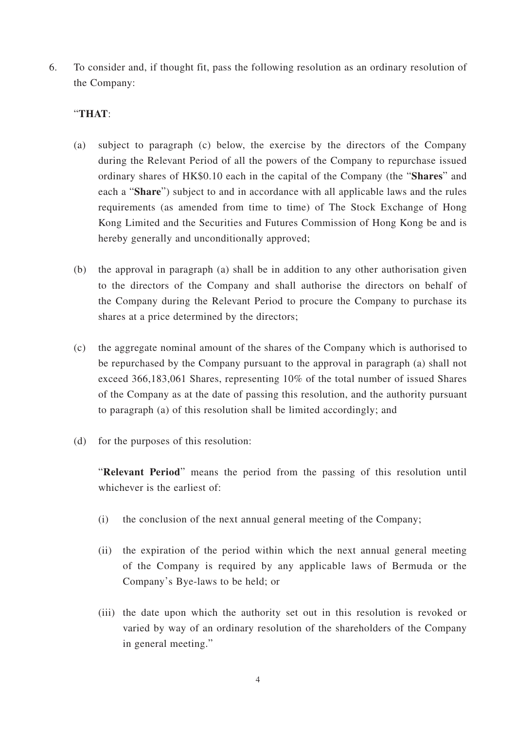6. To consider and, if thought fit, pass the following resolution as an ordinary resolution of the Company:

#### "**THAT**:

- (a) subject to paragraph (c) below, the exercise by the directors of the Company during the Relevant Period of all the powers of the Company to repurchase issued ordinary shares of HK\$0.10 each in the capital of the Company (the "**Shares**" and each a "**Share**") subject to and in accordance with all applicable laws and the rules requirements (as amended from time to time) of The Stock Exchange of Hong Kong Limited and the Securities and Futures Commission of Hong Kong be and is hereby generally and unconditionally approved;
- (b) the approval in paragraph (a) shall be in addition to any other authorisation given to the directors of the Company and shall authorise the directors on behalf of the Company during the Relevant Period to procure the Company to purchase its shares at a price determined by the directors;
- (c) the aggregate nominal amount of the shares of the Company which is authorised to be repurchased by the Company pursuant to the approval in paragraph (a) shall not exceed 366,183,061 Shares, representing 10% of the total number of issued Shares of the Company as at the date of passing this resolution, and the authority pursuant to paragraph (a) of this resolution shall be limited accordingly; and
- (d) for the purposes of this resolution:

"**Relevant Period**" means the period from the passing of this resolution until whichever is the earliest of:

- (i) the conclusion of the next annual general meeting of the Company;
- (ii) the expiration of the period within which the next annual general meeting of the Company is required by any applicable laws of Bermuda or the Company's Bye-laws to be held; or
- (iii) the date upon which the authority set out in this resolution is revoked or varied by way of an ordinary resolution of the shareholders of the Company in general meeting."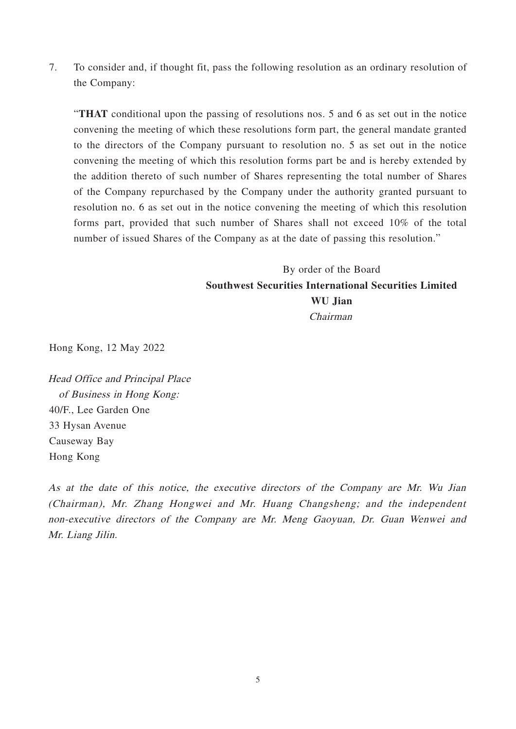7. To consider and, if thought fit, pass the following resolution as an ordinary resolution of the Company:

"**THAT** conditional upon the passing of resolutions nos. 5 and 6 as set out in the notice convening the meeting of which these resolutions form part, the general mandate granted to the directors of the Company pursuant to resolution no. 5 as set out in the notice convening the meeting of which this resolution forms part be and is hereby extended by the addition thereto of such number of Shares representing the total number of Shares of the Company repurchased by the Company under the authority granted pursuant to resolution no. 6 as set out in the notice convening the meeting of which this resolution forms part, provided that such number of Shares shall not exceed 10% of the total number of issued Shares of the Company as at the date of passing this resolution."

### By order of the Board **Southwest Securities International Securities Limited WU Jian** Chairman

Hong Kong, 12 May 2022

Head Office and Principal Place of Business in Hong Kong: 40/F., Lee Garden One 33 Hysan Avenue Causeway Bay Hong Kong

As at the date of this notice, the executive directors of the Company are Mr. Wu Jian (Chairman), Mr. Zhang Hongwei and Mr. Huang Changsheng; and the independent non-executive directors of the Company are Mr. Meng Gaoyuan, Dr. Guan Wenwei and Mr. Liang Jilin.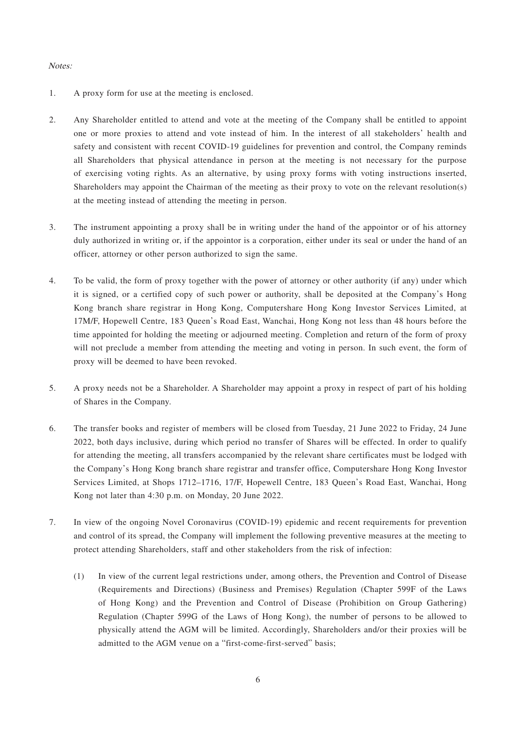#### Notes:

- 1. A proxy form for use at the meeting is enclosed.
- 2. Any Shareholder entitled to attend and vote at the meeting of the Company shall be entitled to appoint one or more proxies to attend and vote instead of him. In the interest of all stakeholders' health and safety and consistent with recent COVID-19 guidelines for prevention and control, the Company reminds all Shareholders that physical attendance in person at the meeting is not necessary for the purpose of exercising voting rights. As an alternative, by using proxy forms with voting instructions inserted, Shareholders may appoint the Chairman of the meeting as their proxy to vote on the relevant resolution(s) at the meeting instead of attending the meeting in person.
- 3. The instrument appointing a proxy shall be in writing under the hand of the appointor or of his attorney duly authorized in writing or, if the appointor is a corporation, either under its seal or under the hand of an officer, attorney or other person authorized to sign the same.
- 4. To be valid, the form of proxy together with the power of attorney or other authority (if any) under which it is signed, or a certified copy of such power or authority, shall be deposited at the Company's Hong Kong branch share registrar in Hong Kong, Computershare Hong Kong Investor Services Limited, at 17M/F, Hopewell Centre, 183 Queen's Road East, Wanchai, Hong Kong not less than 48 hours before the time appointed for holding the meeting or adjourned meeting. Completion and return of the form of proxy will not preclude a member from attending the meeting and voting in person. In such event, the form of proxy will be deemed to have been revoked.
- 5. A proxy needs not be a Shareholder. A Shareholder may appoint a proxy in respect of part of his holding of Shares in the Company.
- 6. The transfer books and register of members will be closed from Tuesday, 21 June 2022 to Friday, 24 June 2022, both days inclusive, during which period no transfer of Shares will be effected. In order to qualify for attending the meeting, all transfers accompanied by the relevant share certificates must be lodged with the Company's Hong Kong branch share registrar and transfer office, Computershare Hong Kong Investor Services Limited, at Shops 1712–1716, 17/F, Hopewell Centre, 183 Queen's Road East, Wanchai, Hong Kong not later than 4:30 p.m. on Monday, 20 June 2022.
- 7. In view of the ongoing Novel Coronavirus (COVID-19) epidemic and recent requirements for prevention and control of its spread, the Company will implement the following preventive measures at the meeting to protect attending Shareholders, staff and other stakeholders from the risk of infection:
	- (1) In view of the current legal restrictions under, among others, the Prevention and Control of Disease (Requirements and Directions) (Business and Premises) Regulation (Chapter 599F of the Laws of Hong Kong) and the Prevention and Control of Disease (Prohibition on Group Gathering) Regulation (Chapter 599G of the Laws of Hong Kong), the number of persons to be allowed to physically attend the AGM will be limited. Accordingly, Shareholders and/or their proxies will be admitted to the AGM venue on a "first-come-first-served" basis;